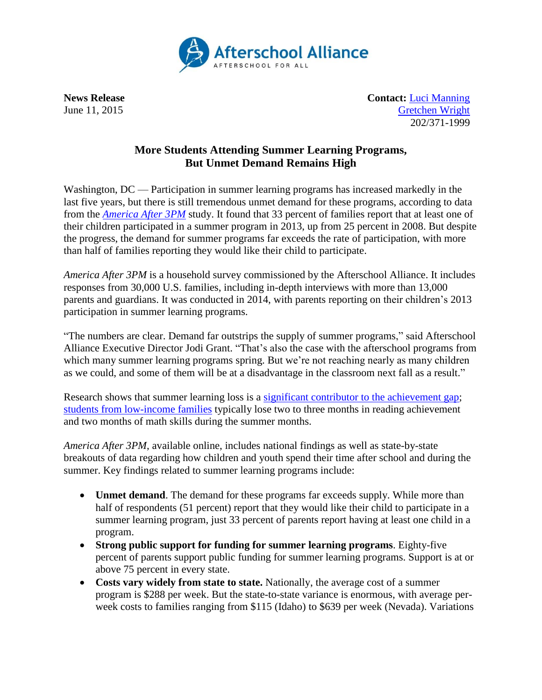

**News Release Contact:** [Luci Manning](mailto:luci@prsolutionsdc.com) June 11, 2015 [Gretchen Wright](mailto:gretchen@prsolutionsdc.com) 202/371-1999

## **More Students Attending Summer Learning Programs, But Unmet Demand Remains High**

Washington, DC — Participation in summer learning programs has increased markedly in the last five years, but there is still tremendous unmet demand for these programs, according to data from the *[America After 3PM](http://www.afterschoolalliance.org/AA3PM)* study. It found that 33 percent of families report that at least one of their children participated in a summer program in 2013, up from 25 percent in 2008. But despite the progress, the demand for summer programs far exceeds the rate of participation, with more than half of families reporting they would like their child to participate.

*America After 3PM* is a household survey commissioned by the Afterschool Alliance. It includes responses from 30,000 U.S. families, including in-depth interviews with more than 13,000 parents and guardians. It was conducted in 2014, with parents reporting on their children's 2013 participation in summer learning programs.

"The numbers are clear. Demand far outstrips the supply of summer programs," said Afterschool Alliance Executive Director Jodi Grant. "That's also the case with the afterschool programs from which many summer learning programs spring. But we're not reaching nearly as many children as we could, and some of them will be at a disadvantage in the classroom next fall as a result."

Research shows that summer learning loss is a [significant contributor to the achievement gap;](http://www.ewa.org/sites/main/files/file-attachments/summer_learning_gap-2.pdf) [students from low-income families](http://psychandneuro.duke.edu/uploads/media_items/summer-learning-loss.original.pdf) typically lose two to three months in reading achievement and two months of math skills during the summer months.

*America After 3PM*, available online, includes national findings as well as state-by-state breakouts of data regarding how children and youth spend their time after school and during the summer. Key findings related to summer learning programs include:

- **Unmet demand**. The demand for these programs far exceeds supply. While more than half of respondents (51 percent) report that they would like their child to participate in a summer learning program, just 33 percent of parents report having at least one child in a program.
- **Strong public support for funding for summer learning programs**. Eighty-five percent of parents support public funding for summer learning programs. Support is at or above 75 percent in every state.
- **Costs vary widely from state to state.** Nationally, the average cost of a summer program is \$288 per week. But the state-to-state variance is enormous, with average perweek costs to families ranging from \$115 (Idaho) to \$639 per week (Nevada). Variations